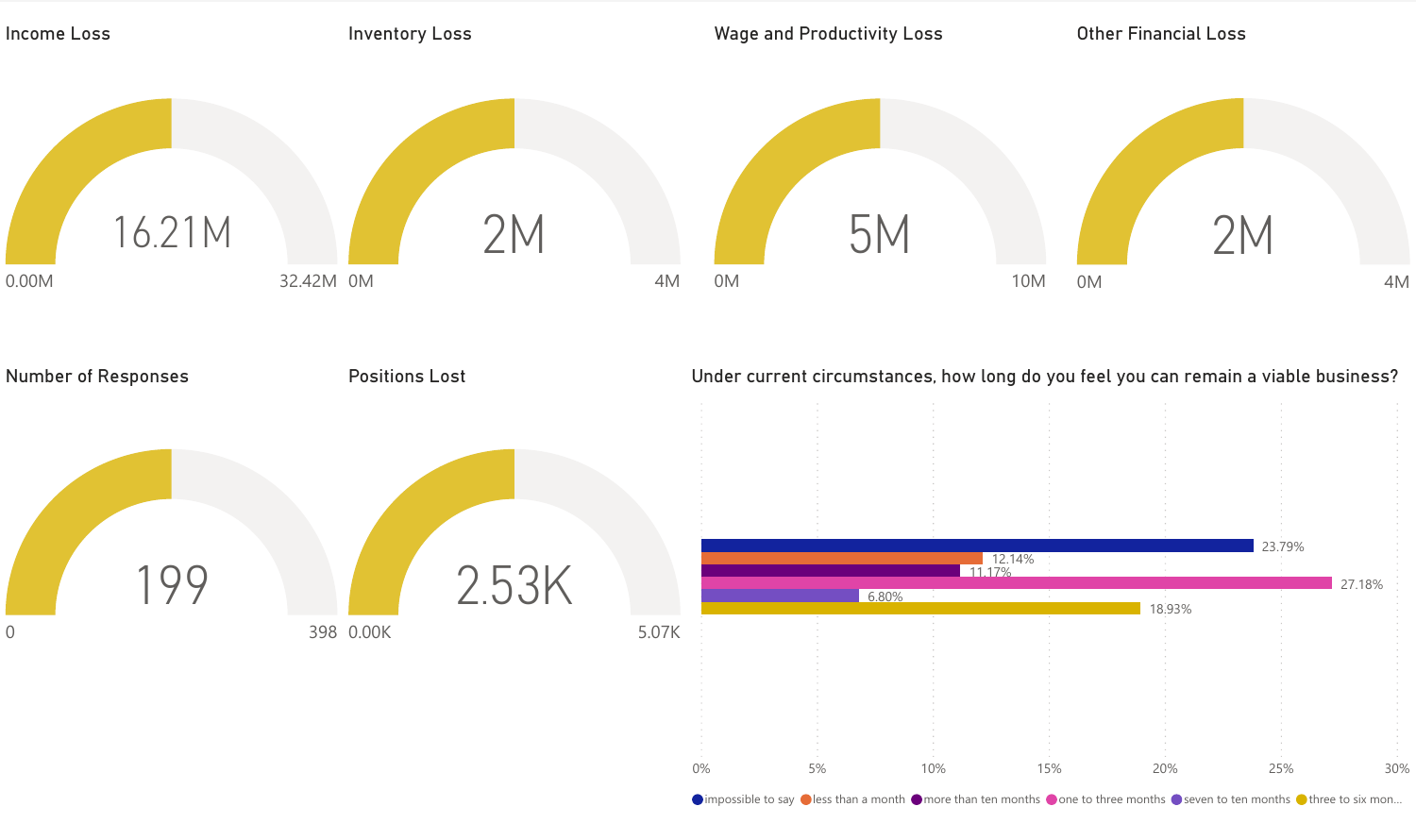